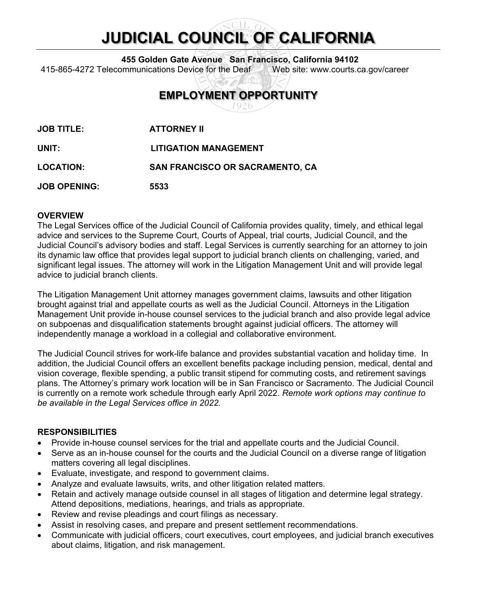# **JUDICIAL COUNCIL OF CALIFORNIA**

**455 Golden Gate Avenue San Francisco, California 94102**

415-865-4272 Telecommunications Device for the Deaf Web site: www.courts.ca.gov/career

# **EMPLOYMENT OPPORTUNITY**

**JOB TITLE: ATTORNEY II**

**UNIT: LITIGATION MANAGEMENT**

**LOCATION: SAN FRANCISCO OR SACRAMENTO, CA**

**JOB OPENING: 5533**

# **OVERVIEW**

The Legal Services office of the Judicial Council of California provides quality, timely, and ethical legal advice and services to the Supreme Court, Courts of Appeal, trial courts, Judicial Council, and the Judicial Council's advisory bodies and staff. Legal Services is currently searching for an attorney to join its dynamic law office that provides legal support to judicial branch clients on challenging, varied, and significant legal issues. The attorney will work in the Litigation Management Unit and will provide legal advice to judicial branch clients.

The Litigation Management Unit attorney manages government claims, lawsuits and other litigation brought against trial and appellate courts as well as the Judicial Council. Attorneys in the Litigation Management Unit provide in-house counsel services to the judicial branch and also provide legal advice on subpoenas and disqualification statements brought against judicial officers. The attorney will independently manage a workload in a collegial and collaborative environment.

The Judicial Council strives for work-life balance and provides substantial vacation and holiday time. In addition, the Judicial Council offers an excellent benefits package including pension, medical, dental and vision coverage, flexible spending, a public transit stipend for commuting costs, and retirement savings plans. The Attorney's primary work location will be in San Francisco or Sacramento. The Judicial Council is currently on a remote work schedule through early April 2022. *Remote work options may continue to be available in the Legal Services office in 2022.*

# **RESPONSIBILITIES**

- Provide in-house counsel services for the trial and appellate courts and the Judicial Council.
- Serve as an in-house counsel for the courts and the Judicial Council on a diverse range of litigation matters covering all legal disciplines.
- Evaluate, investigate, and respond to government claims.
- Analyze and evaluate lawsuits, writs, and other litigation related matters.
- Retain and actively manage outside counsel in all stages of litigation and determine legal strategy. Attend depositions, mediations, hearings, and trials as appropriate.
- Review and revise pleadings and court filings as necessary.
- Assist in resolving cases, and prepare and present settlement recommendations.
- Communicate with judicial officers, court executives, court employees, and judicial branch executives about claims, litigation, and risk management.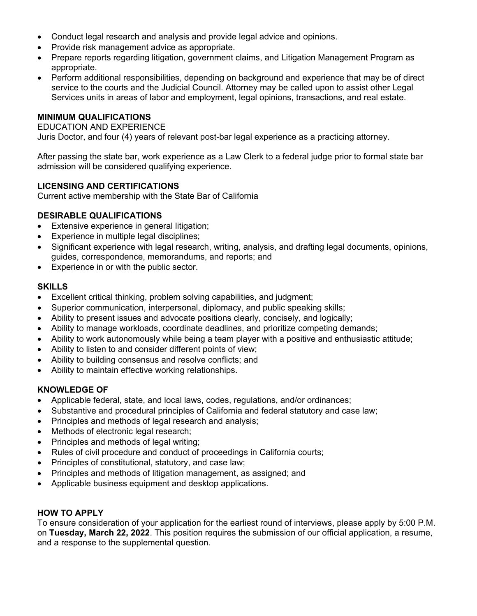- Conduct legal research and analysis and provide legal advice and opinions.
- Provide risk management advice as appropriate.
- Prepare reports regarding litigation, government claims, and Litigation Management Program as appropriate.
- Perform additional responsibilities, depending on background and experience that may be of direct service to the courts and the Judicial Council. Attorney may be called upon to assist other Legal Services units in areas of labor and employment, legal opinions, transactions, and real estate.

#### **MINIMUM QUALIFICATIONS**

#### EDUCATION AND EXPERIENCE

Juris Doctor, and four (4) years of relevant post-bar legal experience as a practicing attorney.

After passing the state bar, work experience as a Law Clerk to a federal judge prior to formal state bar admission will be considered qualifying experience.

# **LICENSING AND CERTIFICATIONS**

Current active membership with the State Bar of California

# **DESIRABLE QUALIFICATIONS**

- Extensive experience in general litigation;
- Experience in multiple legal disciplines;
- Significant experience with legal research, writing, analysis, and drafting legal documents, opinions, guides, correspondence, memorandums, and reports; and
- Experience in or with the public sector.

# **SKILLS**

- Excellent critical thinking, problem solving capabilities, and judgment;
- Superior communication, interpersonal, diplomacy, and public speaking skills;
- Ability to present issues and advocate positions clearly, concisely, and logically;
- Ability to manage workloads, coordinate deadlines, and prioritize competing demands;
- Ability to work autonomously while being a team player with a positive and enthusiastic attitude;
- Ability to listen to and consider different points of view;
- Ability to building consensus and resolve conflicts; and
- Ability to maintain effective working relationships.

#### **KNOWLEDGE OF**

- Applicable federal, state, and local laws, codes, regulations, and/or ordinances;
- Substantive and procedural principles of California and federal statutory and case law;
- Principles and methods of legal research and analysis;
- Methods of electronic legal research;
- Principles and methods of legal writing;
- Rules of civil procedure and conduct of proceedings in California courts:
- Principles of constitutional, statutory, and case law;
- Principles and methods of litigation management, as assigned; and
- Applicable business equipment and desktop applications.

#### **HOW TO APPLY**

To ensure consideration of your application for the earliest round of interviews, please apply by 5:00 P.M. on **Tuesday, March 22, 2022**. This position requires the submission of our official application, a resume, and a response to the supplemental question.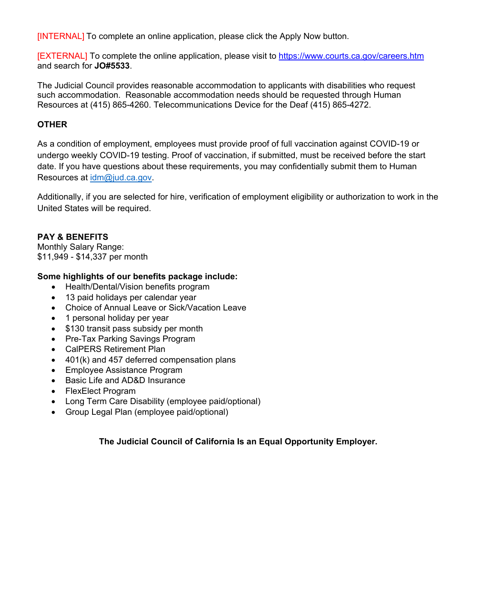[INTERNAL] To complete an online application, please click the Apply Now button.

[EXTERNAL] To complete the online application, please visit to<https://www.courts.ca.gov/careers.htm> and search for **JO#5533**.

The Judicial Council provides reasonable accommodation to applicants with disabilities who request such accommodation. Reasonable accommodation needs should be requested through Human Resources at (415) 865-4260. Telecommunications Device for the Deaf (415) 865-4272.

# **OTHER**

As a condition of employment, employees must provide proof of full vaccination against COVID-19 or undergo weekly COVID-19 testing. Proof of vaccination, if submitted, must be received before the start date. If you have questions about these requirements, you may confidentially submit them to Human Resources at [idm@jud.ca.gov.](mailto:idm@jud.ca.gov)

Additionally, if you are selected for hire, verification of employment eligibility or authorization to work in the United States will be required.

# **PAY & BENEFITS**

Monthly Salary Range: \$11,949 - \$14,337 per month

# **Some highlights of our benefits package include:**

- Health/Dental/Vision benefits program
- 13 paid holidays per calendar year
- Choice of Annual Leave or Sick/Vacation Leave
- 1 personal holiday per year
- \$130 transit pass subsidy per month
- Pre-Tax Parking Savings Program
- CalPERS Retirement Plan
- 401(k) and 457 deferred compensation plans
- Employee Assistance Program
- Basic Life and AD&D Insurance
- FlexElect Program
- Long Term Care Disability (employee paid/optional)
- Group Legal Plan (employee paid/optional)

# **The Judicial Council of California Is an Equal Opportunity Employer.**